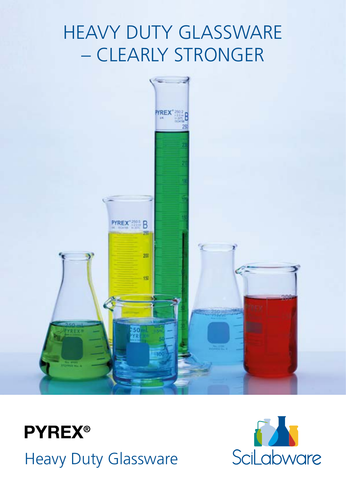## HEAVY DUTY GLASSWARE – CLEARLY STRONGER





Heavy Duty Glassware

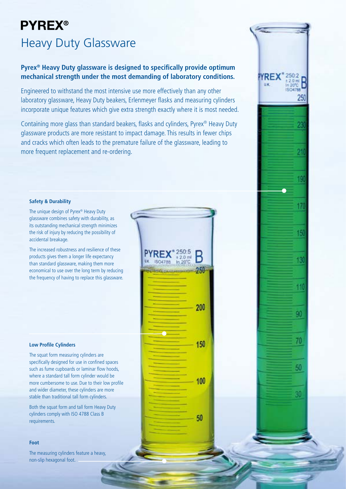## **PYREX®** Heavy Duty Glassware

#### **Pyrex® Heavy Duty glassware is designed to specifically provide optimum mechanical strength under the most demanding of laboratory conditions.**

Engineered to withstand the most intensive use more effectively than any other laboratory glassware, Heavy Duty beakers, Erlenmeyer flasks and measuring cylinders incorporate unique features which give extra strength exactly where it is most needed.

Containing more glass than standard beakers, flasks and cylinders, Pyrex® Heavy Duty glassware products are more resistant to impact damage. This results in fewer chips and cracks which often leads to the premature failure of the glassware, leading to more frequent replacement and re-ordering.

250:5

 $±2.0$  ml

B

250-

200

150

100

50

#### **Safety & Durability**

The unique design of Pyrex® Heavy Duty glassware combines safety with durability, as its outstanding mechanical strength minimizes the risk of injury by reducing the possibility of accidental breakage.

The increased robustness and resilience of these products gives them a longer life expectancy than standard glassware, making them more economical to use over the long term by reducing the frequency of having to replace this glassware.

#### **Low Profile Cylinders**

The squat form measuring cylinders are specifically designed for use in confined spaces such as fume cupboards or laminar flow hoods, where a standard tall form cylinder would be more cumbersome to use. Due to their low profile and wider diameter, these cylinders are more stable than traditional tall form cylinders.

Both the squat form and tall form Heavy Duty cylinders comply with ISO 4788 Class B requirements.

#### **Foot**

The measuring cylinders feature a heavy, non-slip hexagonal foot.

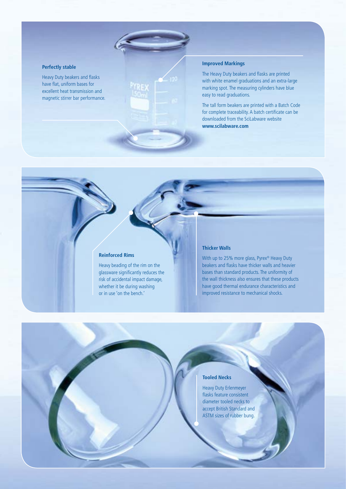#### **Perfectly stable**

Heavy Duty beakers and flasks have flat, uniform bases for excellent heat transmission and magnetic stirrer bar performance.

#### **Improved Markings**

The Heavy Duty beakers and flasks are printed with white enamel graduations and an extra-large marking spot. The measuring cylinders have blue easy to read graduations.

The tall form beakers are printed with a Batch Code for complete traceability. A batch certificate can be downloaded from the SciLabware website **www.scilabware.com**

#### **Reinforced Rims**

Heavy beading of the rim on the glassware significantly reduces the risk of accidental impact damage, whether it be during washing or in use 'on the bench.'

#### **Thicker Walls**

With up to 25% more glass, Pyrex® Heavy Duty beakers and flasks have thicker walls and heavier bases than standard products. The uniformity of the wall thickness also ensures that these products have good thermal endurance characteristics and improved resistance to mechanical shocks.

#### **Tooled Necks**

Heavy Duty Erlenmeyer flasks feature consistent diameter tooled necks to accept British Standard and ASTM sizes of rubber bung.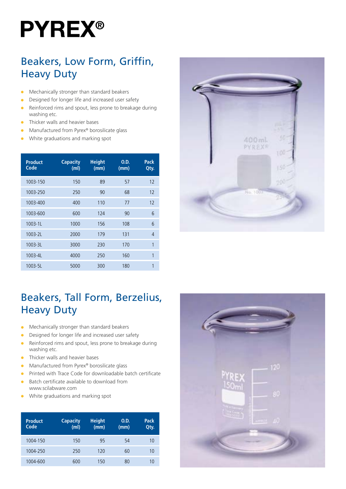# **PYREX®**

## Beakers, Low Form, Griffin, Heavy Duty

- $\bullet$  Mechanically stronger than standard beakers
- **•** Designed for longer life and increased user safety
- $\bullet$  Reinforced rims and spout, less prone to breakage during washing etc.
- $\bullet$  Thicker walls and heavier bases
- <sup>l</sup> Manufactured from Pyrex® borosilicate glass
- White graduations and marking spot

| <b>Product</b><br>Code | <b>Capacity</b><br>(m <sub>l</sub> ) | <b>Height</b><br>(mm) | O.D.<br>(mm) | Pack<br>Qty.   |
|------------------------|--------------------------------------|-----------------------|--------------|----------------|
| 1003-150               | 150                                  | 89                    | 57           | 12             |
| 1003-250               | 250                                  | 90                    | 68           | 12             |
| 1003-400               | 400                                  | 110                   | 77           | 12             |
| 1003-600               | 600                                  | 124                   | 90           | 6              |
| $1003 - 11$            | 1000                                 | 156                   | 108          | 6              |
| $1003 - 2L$            | 2000                                 | 179                   | 131          | $\overline{4}$ |
| $1003 - 3L$            | 3000                                 | 230                   | 170          | 1              |
| 1003-4L                | 4000                                 | 250                   | 160          | 1              |
| $1003 - 5L$            | 5000                                 | 300                   | 180          | 1              |



## Beakers, Tall Form, Berzelius, Heavy Duty

- $\bullet$  Mechanically stronger than standard beakers
- **•** Designed for longer life and increased user safety
- $\bullet$  Reinforced rims and spout, less prone to breakage during washing etc.
- $\bullet$  Thicker walls and heavier bases
- Manufactured from Pyrex® borosilicate glass
- <sup>l</sup> Printed with Trace Code for downloadable batch certificate
- <sup>l</sup> Batch certificate available to download from www.scilabware.com
- $\bullet$  White graduations and marking spot

| <b>Product</b><br>Code | <b>Capacity</b><br>(m <sub>l</sub> ) | <b>Height</b><br>(mm) | O.D.<br>(mm) | Pack<br>Qty. |
|------------------------|--------------------------------------|-----------------------|--------------|--------------|
| 1004-150               | 150                                  | 95                    | 54           | 10           |
| 1004-250               | 250                                  | 120                   | 60           | 10           |
| 1004-600               | 600                                  | 150                   | 80           | 10           |

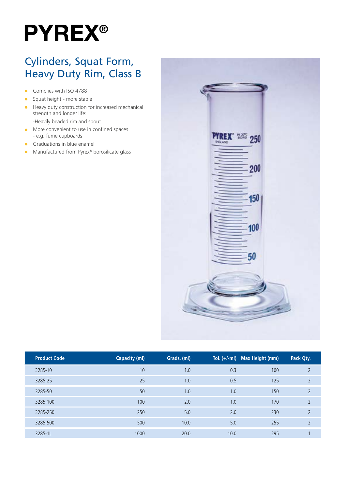

### Cylinders, Squat Form, Heavy Duty Rim, Class B

- **c** Complies with ISO 4788
- $\bullet$  Squat height more stable
- $\bullet$  Heavy duty construction for increased mechanical strength and longer life: -Heavily beaded rim and spout
- $\bullet$  More convenient to use in confined spaces - e.g. fume cupboards
- $\bullet$  Graduations in blue enamel
- Manufactured from Pyrex<sup>®</sup> borosilicate glass



| <b>Product Code</b> | <b>Capacity (ml)</b> | Grads. (ml) | Tol. $(+/-ml)$ | <b>Max Height (mm)</b> | Pack Qty.     |  |
|---------------------|----------------------|-------------|----------------|------------------------|---------------|--|
| 3285-10             | 10                   | 1.0         | 0.3            | 100                    | $\mathcal{D}$ |  |
| 3285-25             | 25                   | 1.0         | 0.5            | 125                    | 2             |  |
| 3285-50             | 50                   | 1.0         | 1.0            | 150                    | $\mathcal{D}$ |  |
| 3285-100            | 100                  | 2.0         | 1.0            | 170                    | $\mathcal{D}$ |  |
| 3285-250            | 250                  | 5.0         | 2.0            | 230                    | $\mathcal{D}$ |  |
| 3285-500            | 500                  | 10.0        | 5.0            | 255                    |               |  |
| 3285-1L             | 1000                 | 20.0        | 10.0           | 295                    |               |  |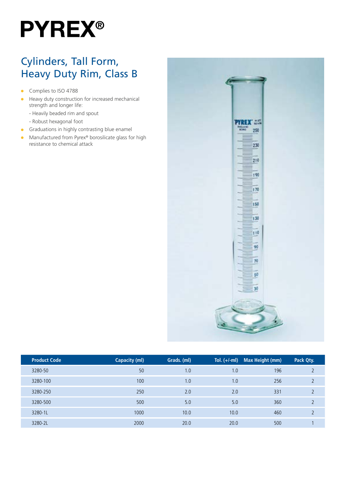## **PYREX®**

## Cylinders, Tall Form, Heavy Duty Rim, Class B

- **Complies to ISO 4788**
- $\bullet$  Heavy duty construction for increased mechanical strength and longer life:
	- Heavily beaded rim and spout
	- Robust hexagonal foot
- $\bullet$  Graduations in highly contrasting blue enamel
- **•** Manufactured from Pyrex® borosilicate glass for high resistance to chemical attack



| <b>Product Code</b> | Capacity (ml) | Grads. (ml) | Tol. $(+/-ml)$ | Max Height (mm) | Pack Qty. |  |
|---------------------|---------------|-------------|----------------|-----------------|-----------|--|
| 3280-50             | 50            | 1.0         | 1.0            | 196             |           |  |
| 3280-100            | 100           | 1.0         | 1.0            | 256             |           |  |
| 3280-250            | 250           | 2.0         | 2.0            | 331             |           |  |
| 3280-500            | 500           | 5.0         | 5.0            | 360             |           |  |
| 3280-1L             | 1000          | 10.0        | 10.0           | 460             |           |  |
| 3280-2L             | 2000          | 20.0        | 20.0           | 500             |           |  |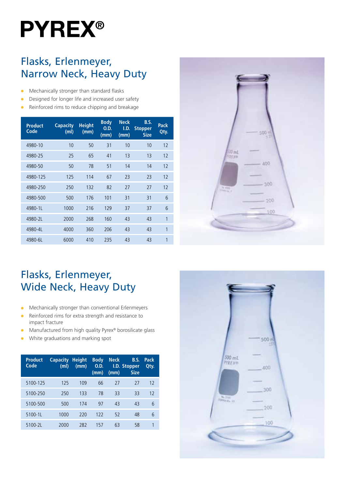# **PYREX®**

### Flasks, Erlenmeyer, Narrow Neck, Heavy Duty

- $\bullet$  Mechanically stronger than standard flasks
- **•** Designed for longer life and increased user safety
- Reinforced rims to reduce chipping and breakage

| <b>Product</b><br>Code | <b>Capacity</b><br>(m <sub>l</sub> ) | <b>Height</b><br>(mm) | <b>Body</b><br>0.D.<br>(mm) | <b>Neck</b><br>I.D.<br>(mm) | B.S.<br><b>Stopper</b><br><b>Size</b> | Pack<br>Qty. |
|------------------------|--------------------------------------|-----------------------|-----------------------------|-----------------------------|---------------------------------------|--------------|
| 4980-10                | 10                                   | 50                    | 31                          | 10                          | 10                                    | 12           |
| 4980-25                | 25                                   | 65                    | 41                          | 13                          | 13                                    | 12           |
| 4980-50                | 50                                   | 78                    | 51                          | 14                          | 14                                    | 12           |
| 4980-125               | 125                                  | 114                   | 67                          | 23                          | 23                                    | 12           |
| 4980-250               | 250                                  | 132                   | 82                          | 27                          | 27                                    | 12           |
| 4980-500               | 500                                  | 176                   | 101                         | 31                          | 31                                    | 6            |
| 4980-1L                | 1000                                 | 216                   | 129                         | 37                          | 37                                    | 6            |
| 4980-2L                | 2000                                 | 268                   | 160                         | 43                          | 43                                    | 1            |
| 4980-4L                | 4000                                 | 360                   | 206                         | 43                          | 43                                    | 1            |
| 4980-6L                | 6000                                 | 410                   | 235                         | 43                          | 43                                    | 1            |



## Flasks, Erlenmeyer, Wide Neck, Heavy Duty

- **In Mechanically stronger than conventional Erlenmeyers**
- Reinforced rims for extra strength and resistance to impact fracture
- Manufactured from high quality Pyrex® borosilicate glass
- White graduations and marking spot

| <b>Product</b><br>Code | <b>Capacity</b><br>(m <sub>l</sub> ) | <b>Height</b><br>(mm) | <b>Body</b><br>O.D.<br>(mm) | <b>Neck</b><br>(mm) | B.S.<br>I.D. Stopper<br><b>Size</b> | Pack<br>Qtv. |
|------------------------|--------------------------------------|-----------------------|-----------------------------|---------------------|-------------------------------------|--------------|
| 5100-125               | 125                                  | 109                   | 66                          | 27                  | 27                                  | 12           |
| 5100-250               | 250                                  | 133                   | 78                          | 33                  | 33                                  | 12           |
| 5100-500               | 500                                  | 174                   | 97                          | 43                  | 43                                  | 6            |
| 5100-1L                | 1000                                 | 220                   | 122                         | 52                  | 48                                  | 6            |
| 5100-2L                | 2000                                 | 282                   | 157                         | 63                  | 58                                  | 1            |